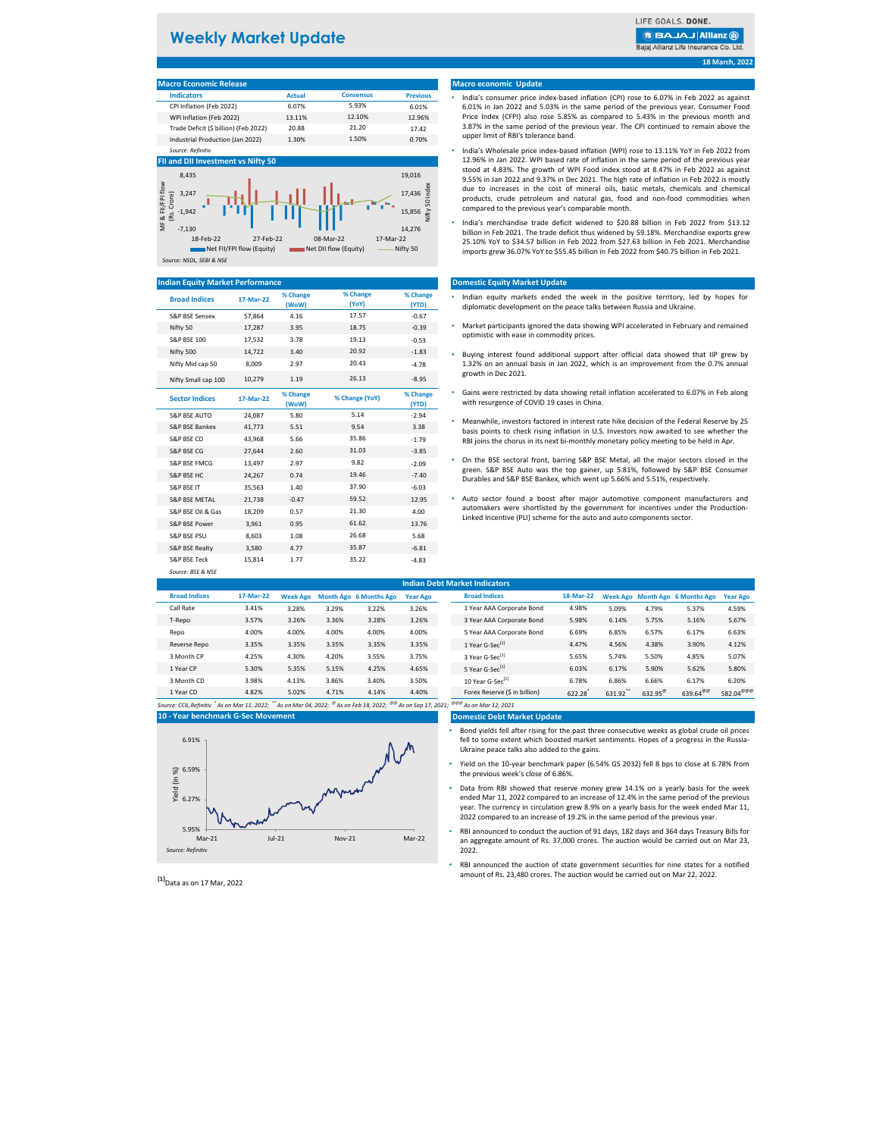# **Weekly Market Update**

LIFE GOALS, DONE.

**BBAJAJ Allianz @** 

Bajaj Allianz Life Insurance Co. Ltd.

**18 March, 2022**

| <b>Macro Economic Release</b>         |               |                  |                 |
|---------------------------------------|---------------|------------------|-----------------|
| <b>Indicators</b>                     | <b>Actual</b> | <b>Consensus</b> | <b>Previous</b> |
| CPI Inflation (Feb 2022)              | 6.07%         | 5.93%            | 6.01%           |
| WPI Inflation (Feb 2022)              | 13.11%        | 12.10%           | 12.96%          |
| Trade Deficit (\$ billion) (Feb 2022) | 20.88         | 21.20            | 17.42           |
| Industrial Production (Jan 2022)      | 1.30%         | 1.50%            | 0.70%           |
| Source: Refinitiv                     |               |                  |                 |

#### **FII and DII Investment vs Nifty 50**



#### **Indian Equity Market Performance**

| <b>Broad Indices</b>              | 17-Mar-22 | % Change<br>(WoW) | % Change<br>(YoY) | % Change<br>(YTD) |
|-----------------------------------|-----------|-------------------|-------------------|-------------------|
| <b>S&amp;P RSF Sensex</b>         | 57,864    | 4.16              | 17.57             | $-0.67$           |
| Nifty 50                          | 17,287    | 3.95              | 18.75             | $-0.39$           |
| <b>S&amp;P BSE 100</b>            | 17,532    | 3.78              | 19.13             | $-0.53$           |
| Nifty 500                         | 14,722    | 3.40              | 20.92             | $-1.83$           |
| Nifty Mid cap 50                  | 8,009     | 2.97              | 20.43             | $-4.78$           |
| Nifty Small cap 100               | 10,279    | 1.19              | 26.13             | $-8.95$           |
| <b>Sector Indices</b>             | 17-Mar-22 | % Change<br>(WoW) | % Change (YoY)    | % Change<br>(YTD) |
| <b>S&amp;P BSE AUTO</b>           | 24,087    | 5.80              | 5.14              | $-2.94$           |
| S&P BSE Bankex                    | 41.773    | 5.51              | 9.54              | 3.38              |
| S&P BSE CD                        | 43,968    | 5.66              | 35.86             | $-1.79$           |
| S&P BSE CG                        | 27,644    | 2.60              | 31.03             | $-3.85$           |
| S&P BSE FMCG                      | 13,497    | 2.97              | 9.82              | $-2.09$           |
| S&P BSE HC                        | 24,267    | 0.74              | 19.46             | $-7.40$           |
| S&P BSE IT                        | 35.563    | 1.40              | 37.90             | $-6.03$           |
| <b>S&amp;P BSE METAL</b>          | 21,738    | $-0.47$           | 59.52             | 12.95             |
| S&P BSE Oil & Gas                 | 18,209    | 0.57              | 21.30             | 4.00              |
| S&P BSE Power                     | 3,961     | 0.95              | 61.62             | 13.76             |
| S&P BSE PSU                       | 8,603     | 1.08              | 26.68             | 5.68              |
| <b>S&amp;P BSE Realty</b>         | 3,580     | 4.77              | 35.87             | $-6.81$           |
| S&P BSE Teck<br>Source: BSE & NSE | 15,814    | 1.77              | 35.22             | $-4.83$           |

### **Macro economic Update**

- India's consumer price index-based inflation (CPI) rose to 6.07% in Feb 2022 as against 6.01% in Jan 2022 and 5.03% in the same period of the previous year. Consumer Food Price Index (CFPI) also rose 5.85% as compared to 5.43% in the previous month and 3.87% in the same period of the previous year. The CPI continued to remain above the upper limit of RBI's tolerance band.
- India's Wholesale price index-based inflation (WPI) rose to 13.11% YoY in Feb 2022 from 12.96% in Jan 2022. WPI based rate of inflation in the same period of the previous year stood at 4.83%. The growth of WPI Food index stood at 8.47% in Feb 2022 as against 9.55% in Jan 2022 and 9.37% in Dec 2021. The high rate of inflation in Feb 2022 is mostly due to increases in the cost of mineral oils, basic metals, chemicals and chemical products, crude petroleum and natural gas, food and non-food commodities when compared to the previous year's comparable month.
- India's merchandise trade deficit widened to \$20.88 billion in Feb 2022 from \$13.12 billion in Feb 2021. The trade deficit thus widened by 59.18%. Merchandise exports grew 25.10% YoY to \$34.57 billion in Feb 2022 from \$27.63 billion in Feb 2021. Merchandise imports grew 36.07% YoY to \$55.45 billion in Feb 2022 from \$40.75 billion in Feb 2021.

#### **Domestic Equity Market Update**

- Indian equity markets ended the week in the positive territory, led by hopes for diplomatic development on the peace talks between Russia and Ukraine.
- Market participants ignored the data showing WPI accelerated in February and remained optimistic with ease in commodity prices.
- Buying interest found additional support after official data showed that IIP grew by 1.32% on an annual basis in Jan 2022, which is an improvement from the 0.7% annual growth in Dec 2021.
- Gains were restricted by data showing retail inflation accelerated to 6.07% in Feb along with resurgence of COVID 19 cases in China.
- Meanwhile, investors factored in interest rate hike decision of the Federal Reserve by 25 basis points to check rising inflation in U.S. Investors now awaited to see whether the RBI joins the chorus in its next bi-monthly monetary policy meeting to be held in Apr.
- S&P BSE FMCG 13,497 2.97 9.82 -2.09 On the BSE sectoral front, barring S&P BSE Metal, all the major sectors closed in the green. S&P BSE Auto was the top gainer, up 5.81%, followed by S&P BSE Consumer Durables and S&P BSE Bankex, which went up 5.66% and 5.51%, respectively.
	- Auto sector found a boost after major automotive component manufacturers and automakers were shortlisted by the government for incentives under the Production-Linked Incentive (PLI) scheme for the auto and auto components sector.

|                      | <b>Indian Debt Market Indicators</b> |                 |       |                               |                 |  |                               |           |         |                  |                                 |                       |
|----------------------|--------------------------------------|-----------------|-------|-------------------------------|-----------------|--|-------------------------------|-----------|---------|------------------|---------------------------------|-----------------------|
| <b>Broad Indices</b> | 17-Mar-22                            | <b>Week Ago</b> |       | <b>Month Ago 6 Months Ago</b> | <b>Year Ago</b> |  | <b>Broad Indices</b>          | 18-Mar-22 |         |                  | Week Ago Month Ago 6 Months Ago | <b>Year Ago</b>       |
| Call Rate            | 3.41%                                | 3.28%           | 3.29% | 3.22%                         | 3.26%           |  | 1 Year AAA Corporate Bond     | 4.98%     | 5.09%   | 4.79%            | 5.37%                           | 4.59%                 |
| T-Repo               | 3.57%                                | 3.26%           | 3.36% | 3.28%                         | 3.26%           |  | 3 Year AAA Corporate Bond     | 5.98%     | 6.14%   | 5.75%            | 5.16%                           | 5.67%                 |
| Repo                 | 4.00%                                | 4.00%           | 4.00% | 4.00%                         | 4.00%           |  | 5 Year AAA Corporate Bond     | 6.69%     | 6.85%   | 6.57%            | 6.17%                           | 6.63%                 |
| Reverse Repo         | 3.35%                                | 3.35%           | 3.35% | 3.35%                         | 3.35%           |  | 1 Year G-Sec <sup>[1]</sup>   | 4.47%     | 4.56%   | 4.38%            | 3.90%                           | 4.12%                 |
| 3 Month CP           | 4.25%                                | 4.30%           | 4.20% | 3.55%                         | 3.75%           |  | 3 Year G-Sec <sup>[1]</sup>   | 5.65%     | 5.74%   | 5.50%            | 4.85%                           | 5.07%                 |
| 1 Year CP            | 5.30%                                | 5.35%           | 5.15% | 4.25%                         | 4.65%           |  | 5 Year G-Sec <sup>[1]</sup>   | 6.03%     | 6.17%   | 5.90%            | 5.62%                           | 5.80%                 |
| 3 Month CD           | 3.98%                                | 4.13%           | 3.86% | 3.40%                         | 3.50%           |  | 10 Year G-Sec <sup>[1]</sup>  | 6.78%     | 6.86%   | 6.66%            | 6.17%                           | 6.20%                 |
| 1 Year CD            | 4.82%                                | 5.02%           | 4.71% | 4.14%                         | 4.40%           |  | Forex Reserve (\$ in billion) | 622.28    | 631.92" | $632.95^{\circ}$ | $639.64^{\circ\circ}$           | 582.04 <sup>@@@</sup> |

*Source: CCIL,Refinitiv \* As on Mar 11, 2022; \*\* As on Mar 04, 2022; @ As on Feb 18, 2022; @@ As on Sep 17, 2021; @@@ As on Mar 12, 2021* **10 - Year benchmark G-Sec Movement**



**Domestic Debt Market Update**

- Bond yields fell after rising for the past three consecutive weeks as global crude oil prices fell to some extent which boosted market sentiments. Hopes of a progress in the Russia-Ukraine peace talks also added to the gains.
- Yield on the 10-year benchmark paper (6.54% GS 2032) fell 8 bps to close at 6.78% from the previous week's close of 6.86%.
- Data from RBI showed that reserve money grew 14.1% on a yearly basis for the week ended Mar 11, 2022 compared to an increase of 12.4% in the same period of the previous year. The currency in circulation grew 8.9% on a yearly basis for the week ended Mar 11, 2022 compared to an increase of 19.2% in the same period of the previous year.
- RBI announced to conduct the auction of 91 days, 182 days and 364 days Treasury Bills for an aggregate amount of Rs. 37,000 crores. The auction would be carried out on Mar 23,  $2022$
- RBI announced the auction of state government securities for nine states for a notified amount of Rs. 23,480 crores. The auction would be carried out on Mar 22, 2022.